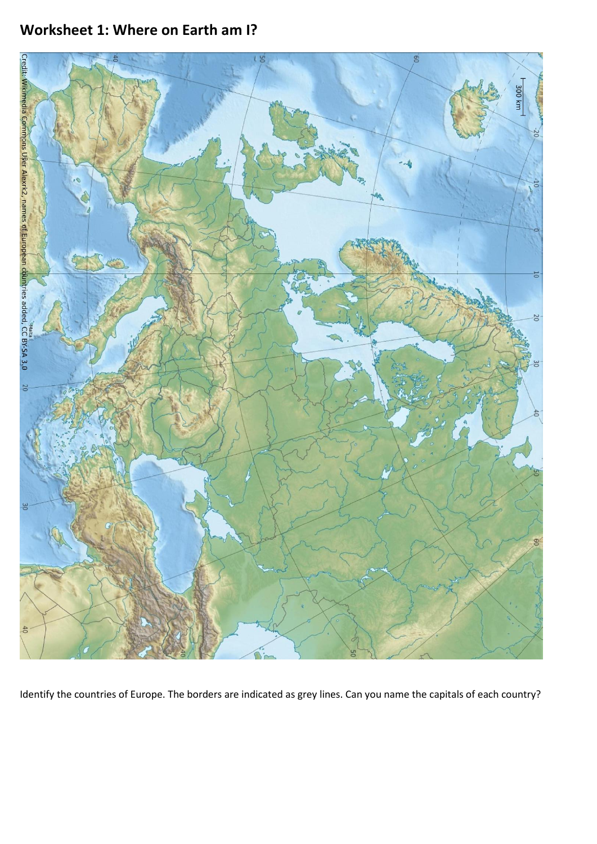# **Worksheet 1: Where on Earth am I?**



Identify the countries of Europe. The borders are indicated as grey lines. Can you name the capitals of each country?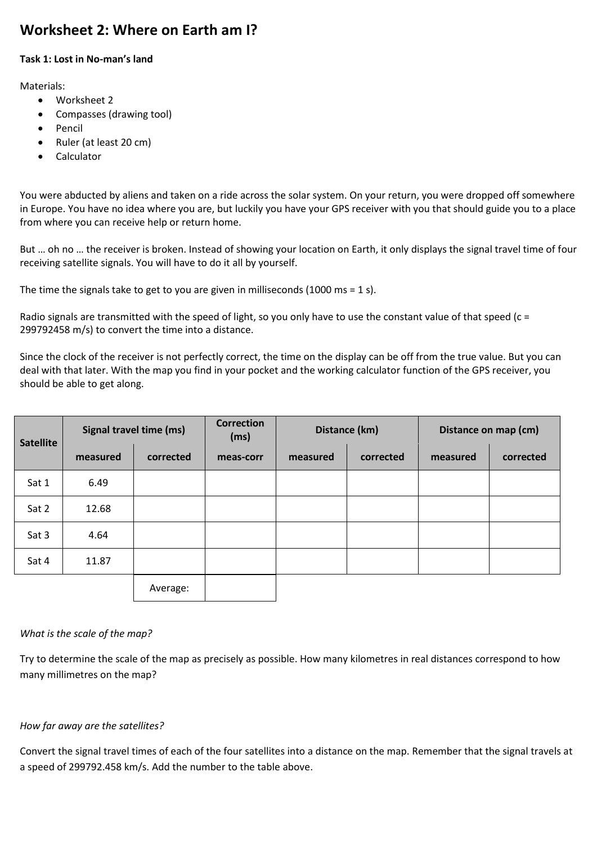# **Worksheet 2: Where on Earth am I?**

## **Task 1: Lost in No-man's land**

Materials:

- Worksheet 2
- Compasses (drawing tool)
- Pencil
- Ruler (at least 20 cm)
- Calculator

You were abducted by aliens and taken on a ride across the solar system. On your return, you were dropped off somewhere in Europe. You have no idea where you are, but luckily you have your GPS receiver with you that should guide you to a place from where you can receive help or return home.

But … oh no … the receiver is broken. Instead of showing your location on Earth, it only displays the signal travel time of four receiving satellite signals. You will have to do it all by yourself.

The time the signals take to get to you are given in milliseconds (1000 ms = 1 s).

Radio signals are transmitted with the speed of light, so you only have to use the constant value of that speed (c = 299792458 m/s) to convert the time into a distance.

Since the clock of the receiver is not perfectly correct, the time on the display can be off from the true value. But you can deal with that later. With the map you find in your pocket and the working calculator function of the GPS receiver, you should be able to get along.

| <b>Satellite</b> | Signal travel time (ms) |           | <b>Correction</b><br>(ms) | Distance (km) |           | Distance on map (cm) |           |
|------------------|-------------------------|-----------|---------------------------|---------------|-----------|----------------------|-----------|
|                  | measured                | corrected | meas-corr                 | measured      | corrected | measured             | corrected |
| Sat 1            | 6.49                    |           |                           |               |           |                      |           |
| Sat 2            | 12.68                   |           |                           |               |           |                      |           |
| Sat 3            | 4.64                    |           |                           |               |           |                      |           |
| Sat 4            | 11.87                   |           |                           |               |           |                      |           |
|                  |                         | Average:  |                           |               |           |                      |           |

## *What is the scale of the map?*

Try to determine the scale of the map as precisely as possible. How many kilometres in real distances correspond to how many millimetres on the map?

## *How far away are the satellites?*

Convert the signal travel times of each of the four satellites into a distance on the map. Remember that the signal travels at a speed of 299792.458 km/s. Add the number to the table above.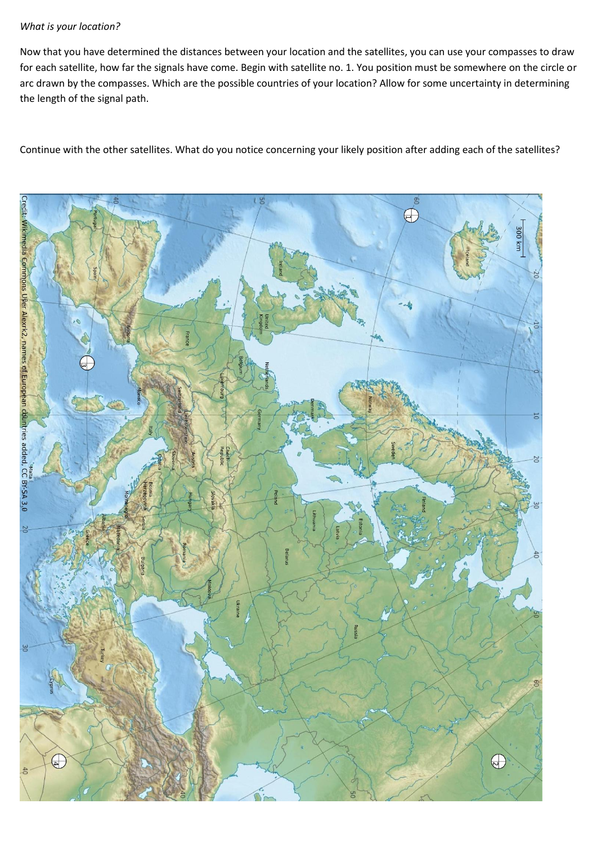## *What is your location?*

Now that you have determined the distances between your location and the satellites, you can use your compasses to draw for each satellite, how far the signals have come. Begin with satellite no. 1. You position must be somewhere on the circle or arc drawn by the compasses. Which are the possible countries of your location? Allow for some uncertainty in determining the length of the signal path.

Continue with the other satellites. What do you notice concerning your likely position after adding each of the satellites?